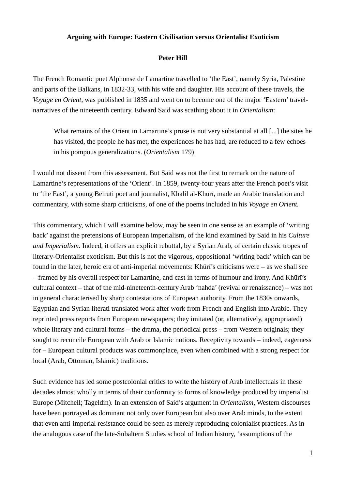## **Arguing with Europe: Eastern Civilisation versus Orientalist Exoticism**

## **Peter Hill**

The French Romantic poet Alphonse de Lamartine travelled to 'the East', namely Syria, Palestine and parts of the Balkans, in 1832-33, with his wife and daughter. His account of these travels, the *Voyage en Orient*, was published in 1835 and went on to become one of the major 'Eastern' travelnarratives of the nineteenth century. Edward Said was scathing about it in *Orientalism*:

What remains of the Orient in Lamartine's prose is not very substantial at all [...] the sites he has visited, the people he has met, the experiences he has had, are reduced to a few echoes in his pompous generalizations. (*Orientalism* 179)

I would not dissent from this assessment. But Said was not the first to remark on the nature of Lamartine's representations of the 'Orient'. In 1859, twenty-four years after the French poet's visit to 'the East', a young Beiruti poet and journalist, Khalil al-Khūrī, made an Arabic translation and commentary, with some sharp criticisms, of one of the poems included in his *Voyage en Orient.*

This commentary, which I will examine below, may be seen in one sense as an example of 'writing back' against the pretensions of European imperialism, of the kind examined by Said in his *Culture and Imperialism*. Indeed, it offers an explicit rebuttal, by a Syrian Arab, of certain classic tropes of literary-Orientalist exoticism. But this is not the vigorous, oppositional 'writing back' which can be found in the later, heroic era of anti-imperial movements: Khūrī's criticisms were – as we shall see – framed by his overall respect for Lamartine, and cast in terms of humour and irony. And Khūrī's cultural context – that of the mid-nineteenth-century Arab 'nahda' (revival or renaissance) – was not in general characterised by sharp contestations of European authority. From the 1830s onwards, Egyptian and Syrian literati translated work after work from French and English into Arabic. They reprinted press reports from European newspapers; they imitated (or, alternatively, appropriated) whole literary and cultural forms – the drama, the periodical press – from Western originals; they sought to reconcile European with Arab or Islamic notions. Receptivity towards – indeed, eagerness for – European cultural products was commonplace, even when combined with a strong respect for local (Arab, Ottoman, Islamic) traditions.

Such evidence has led some postcolonial critics to write the history of Arab intellectuals in these decades almost wholly in terms of their conformity to forms of knowledge produced by imperialist Europe (Mitchell; Tageldin). In an extension of Said's argument in *Orientalism*, Western discourses have been portrayed as dominant not only over European but also over Arab minds, to the extent that even anti-imperial resistance could be seen as merely reproducing colonialist practices. As in the analogous case of the late-Subaltern Studies school of Indian history, 'assumptions of the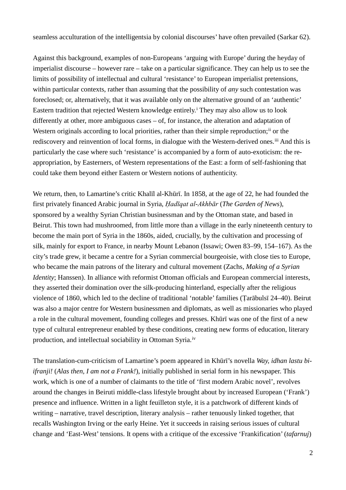seamless acculturation of the intelligentsia by colonial discourses' have often prevailed (Sarkar 62).

Against this background, examples of non-Europeans 'arguing with Europe' during the heyday of imperialist discourse – however rare – take on a particular significance. They can help us to see the limits of possibility of intellectual and cultural 'resistance' to European imperialist pretensions, within particular contexts, rather than assuming that the possibility of *any* such contestation was foreclosed; or, alternatively, that it was available only on the alternative ground of an 'authentic' Eastern trad[i](#page-8-0)tion that rejected Western knowledge entirely.<sup>i</sup> They may also allow us to look differently at other, more ambiguous cases – of, for instance, the alteration and adaptation of Western originals according to local priorities, rather than their simple reproduction;<sup>[ii](#page-8-1)</sup> or the rediscovery and reinvention of local forms, in dialogue with the Western-derived ones.<sup>[iii](#page-8-2)</sup> And this is particularly the case where such 'resistance' is accompanied by a form of auto-exoticism: the reappropriation, by Easterners, of Western representations of the East: a form of self-fashioning that could take them beyond either Eastern or Western notions of authenticity.

We return, then, to Lamartine's critic Khalīl al-Khūrī. In 1858, at the age of 22, he had founded the first privately financed Arabic journal in Syria, *Ḥadīqat al-Akhbār* (*The Garden of News*), sponsored by a wealthy Syrian Christian businessman and by the Ottoman state, and based in Beirut. This town had mushroomed, from little more than a village in the early nineteenth century to become the main port of Syria in the 1860s, aided, crucially, by the cultivation and processing of silk, mainly for export to France, in nearby Mount Lebanon (Issawi; Owen 83–99, 154–167). As the city's trade grew, it became a centre for a Syrian commercial bourgeoisie, with close ties to Europe, who became the main patrons of the literary and cultural movement (Zachs, *Making of a Syrian Identity*; Hanssen). In alliance with reformist Ottoman officials and European commercial interests, they asserted their domination over the silk-producing hinterland, especially after the religious violence of 1860, which led to the decline of traditional 'notable' families (Ṭarābulsī 24–40). Beirut was also a major centre for Western businessmen and diplomats, as well as missionaries who played a role in the cultural movement, founding colleges and presses. Khūrī was one of the first of a new type of cultural entrepreneur enabled by these conditions, creating new forms of education, literary production, and intellectual sociability in Ottoman Syria.<sup>[iv](#page-8-3)</sup>

The translation-cum-criticism of Lamartine's poem appeared in Khūrī's novella *Way, idhan lastu biifranji!* (*Alas then, I am not a Frank!*), initially published in serial form in his newspaper. This work, which is one of a number of claimants to the title of 'first modern Arabic novel', revolves around the changes in Beiruti middle-class lifestyle brought about by increased European ('Frank') presence and influence. Written in a light feuilleton style, it is a patchwork of different kinds of writing – narrative, travel description, literary analysis – rather tenuously linked together, that recalls Washington Irving or the early Heine. Yet it succeeds in raising serious issues of cultural change and 'East-West' tensions. It opens with a critique of the excessive 'Frankification' (*tafarnuj*)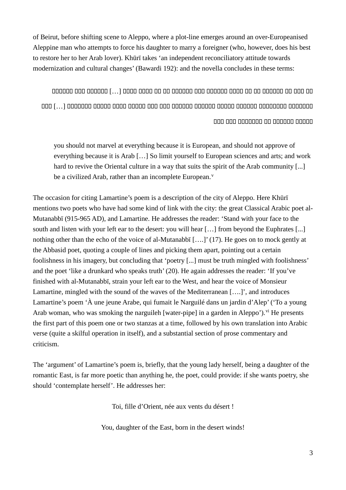of Beirut, before shifting scene to Aleppo, where a plot-line emerges around an over-Europeanised Aleppine man who attempts to force his daughter to marry a foreigner (who, however, does his best to restore her to her Arab lover). Khūrī takes 'an independent reconciliatory attitude towards modernization and cultural changes' (Bawardi 192): and the novella concludes in these terms:

000 000 0000000 00 000000 00000

you should not marvel at everything because it is European, and should not approve of everything because it is Arab [...] So limit yourself to European sciences and arts; and work hard to revive the Oriental culture in a way that suits the spirit of the Arab community [...] be a civilized Arab, rather than an incomplete European.<sup>v</sup>

The occasion for citing Lamartine's poem is a description of the city of Aleppo. Here Khūrī mentions two poets who have had some kind of link with the city: the great Classical Arabic poet al-Mutanabbī (915-965 AD), and Lamartine. He addresses the reader: 'Stand with your face to the south and listen with your left ear to the desert: you will hear [...] from beyond the Euphrates [...] nothing other than the echo of the voice of al-Mutanabbī [....]' (17). He goes on to mock gently at the Abbasid poet, quoting a couple of lines and picking them apart, pointing out a certain foolishness in his imagery, but concluding that 'poetry [...] must be truth mingled with foolishness' and the poet 'like a drunkard who speaks truth' (20). He again addresses the reader: 'If you've finished with al-Mutanabbī, strain your left ear to the West, and hear the voice of Monsieur Lamartine, mingled with the sound of the waves of the Mediterranean [....]', and introduces Lamartine's poem 'À une jeune Arabe, qui fumait le Narguilé dans un jardin d'Alep' ('To a young Arab woman, who was smoking the narguileh [water-pipe] in a garden in Aleppo').<sup>vi</sup> He presents the first part of this poem one or two stanzas at a time, followed by his own translation into Arabic verse (quite a skilful operation in itself), and a substantial section of prose commentary and criticism.

The 'argument' of Lamartine's poem is, briefly, that the young lady herself, being a daughter of the romantic East, is far more poetic than anything he, the poet, could provide: if she wants poetry, she should 'contemplate herself'. He addresses her:

Toi, fille d'Orient, née aux vents du désert !

You, daughter of the East, born in the desert winds!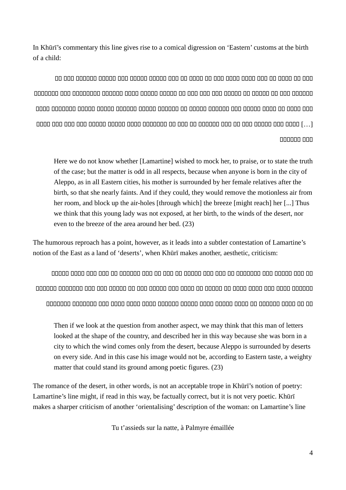In Khūrī's commentary this line gives rise to a comical digression on 'Eastern' customs at the birth of a child $\cdot$ 

anggang ang anggang ang ang ang anggalagan ng malayang ang manag-ang ang ang ang ang anggan [...] acao aca acao acao acao acao acao ac acao ac acao acao acao acao acao acao acao acao [...] 000000 000

Here we do not know whether [Lamartine] wished to mock her, to praise, or to state the truth of the case; but the matter is odd in all respects, because when anyone is born in the city of Aleppo, as in all Eastern cities, his mother is surrounded by her female relatives after the birth, so that she nearly faints. And if they could, they would remove the motionless air from her room, and block up the air-holes [through which] the breeze [might reach] her [...] Thus we think that this young lady was not exposed, at her birth, to the winds of the desert, nor even to the breeze of the area around her bed. (23)

The humorous reproach has a point, however, as it leads into a subtler contestation of Lamartine's notion of the East as a land of 'deserts', when Khūrī makes another, aesthetic, criticism:

Then if we look at the question from another aspect, we may think that this man of letters looked at the shape of the country, and described her in this way because she was born in a city to which the wind comes only from the desert, because Aleppo is surrounded by deserts on every side. And in this case his image would not be, according to Eastern taste, a weighty matter that could stand its ground among poetic figures. (23)

The romance of the desert, in other words, is not an acceptable trope in Khūrī's notion of poetry: Lamartine's line might, if read in this way, be factually correct, but it is not very poetic. Khūrī makes a sharper criticism of another 'orientalising' description of the woman: on Lamartine's line

Tu t'assieds sur la natte, à Palmyre émaillée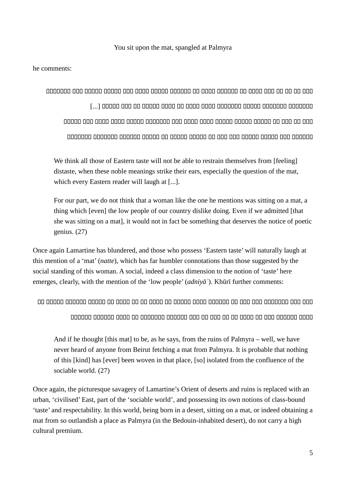## You sit upon the mat, spangled at Palmyra

he comments.

We think all those of Eastern taste will not be able to restrain themselves from [feeling] distaste, when these noble meanings strike their ears, especially the question of the mat, which every Eastern reader will laugh at [...].

For our part, we do not think that a woman like the one he mentions was sitting on a mat, a thing which [even] the low people of our country dislike doing. Even if we admitted [that she was sitting on a mat], it would not in fact be something that deserves the notice of poetic genius.  $(27)$ 

Once again Lamartine has blundered, and those who possess 'Eastern taste' will naturally laugh at this mention of a 'mat' (natte), which has far humbler connotations than those suggested by the social standing of this woman. A social, indeed a class dimension to the notion of 'taste' here emerges, clearly, with the mention of the 'low people'  $(adni\gamma\bar{a})$ . Khūrī further comments:

ao aonao aonado aonao ao aona ao ao aona ao aonan agaa aonado ao aon ago aonadoo aon aon

And if he thought [this mat] to be, as he says, from the ruins of Palmyra – well, we have never heard of anyone from Beirut fetching a mat from Palmyra. It is probable that nothing of this [kind] has [ever] been woven in that place, [so] isolated from the confluence of the sociable world. (27)

Once again, the picturesque savagery of Lamartine's Orient of deserts and ruins is replaced with an urban, 'civilised' East, part of the 'sociable world', and possessing its own notions of class-bound 'taste' and respectability. In this world, being born in a desert, sitting on a mat, or indeed obtaining a mat from so outlandish a place as Palmyra (in the Bedouin-inhabited desert), do not carry a high cultural premium.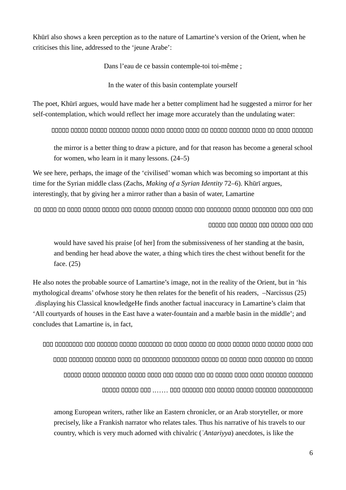Khūrī also shows a keen perception as to the nature of Lamartine's version of the Orient, when he criticises this line, addressed to the 'jeune Arabe':

Dans l'eau de ce bassin contemple-toi toi-même ;

In the water of this basin contemplate yourself

The poet, Khūrī argues, would have made her a better compliment had he suggested a mirror for her self-contemplation, which would reflect her image more accurately than the undulating water:

the mirror is a better thing to draw a picture, and for that reason has become a general school for women, who learn in it many lessons. (24–5)

We see here, perhaps, the image of the 'civilised' woman which was becoming so important at this time for the Syrian middle class (Zachs, *Making of a Syrian Identity 72–6)*. Khūrī argues, interestingly, that by giving her a mirror rather than a basin of water, Lamartine

00000 000 00000 000 00000 000 000

would have saved his praise [of her] from the submissiveness of her standing at the basin, and bending her head above the water, a thing which tires the chest without benefit for the face. (25)

He also notes the probable source of Lamartine's image, not in the reality of the Orient, but in 'his mythological dreams' of whose story he then relates for the benefit of his readers, -Narcissus (25) displaying his Classical knowledgeHe finds another factual inaccuracy in Lamartine's claim that 'All courtyards of houses in the East have a water-fountain and a marble basin in the middle'; and concludes that Lamartine is, in fact.

among European writers, rather like an Eastern chronicler, or an Arab storyteller, or more precisely, like a Frankish narrator who relates tales. Thus his narrative of his travels to our country, which is very much adorned with chivalric ('Antariyya) anecdotes, is like the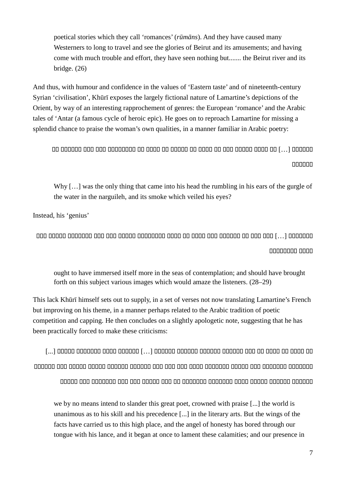poetical stories which they call 'romances' (rūmāns). And they have caused many Westerners to long to travel and see the glories of Beirut and its amusements; and having come with much trouble and effort, they have seen nothing but....... the Beirut river and its bridge.  $(26)$ 

And thus, with humour and confidence in the values of 'Eastern taste' and of nineteenth-century Syrian 'civilisation', Khūrī exposes the largely fictional nature of Lamartine's depictions of the Orient, by way of an interesting rapprochement of genres: the European 'romance' and the Arabic tales of 'Antar (a famous cycle of heroic epic). He goes on to reproach Lamartine for missing a splendid chance to praise the woman's own qualities, in a manner familiar in Arabic poetry:

000000

Why [...] was the only thing that came into his head the rumbling in his ears of the gurgle of the water in the narguileh, and its smoke which veiled his eyes?

Instead, his 'genius'

00000000 0000

ought to have immersed itself more in the seas of contemplation; and should have brought forth on this subject various images which would amaze the listeners. (28–29)

This lack Khūrī himself sets out to supply, in a set of verses not now translating Lamartine's French but improving on his theme, in a manner perhaps related to the Arabic tradition of poetic competition and capping. He then concludes on a slightly apologetic note, suggesting that he has been practically forced to make these criticisms:

annong non nanan nanan nanang nanang nan-ana nga nanan nanang nanan nananang nanang andon and analogo and and and and an analogo and and and and an and an analogo

we by no means intend to slander this great poet, crowned with praise [...] the world is unanimous as to his skill and his precedence [...] in the literary arts. But the wings of the facts have carried us to this high place, and the angel of honesty has bored through our tongue with his lance, and it began at once to lament these calamities; and our presence in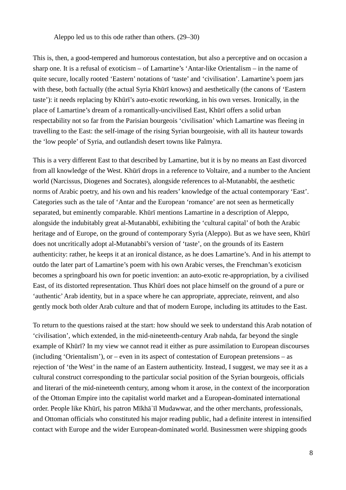Aleppo led us to this ode rather than others. (29–30)

This is, then, a good-tempered and humorous contestation, but also a perceptive and on occasion a sharp one. It is a refusal of exoticism – of Lamartine's 'Antar-like Orientalism – in the name of quite secure, locally rooted 'Eastern' notations of 'taste' and 'civilisation'. Lamartine's poem jars with these, both factually (the actual Syria Khūrī knows) and aesthetically (the canons of 'Eastern taste'): it needs replacing by Khūrī's auto-exotic reworking, in his own verses. Ironically, in the place of Lamartine's dream of a romantically-uncivilised East, Khūrī offers a solid urban respectability not so far from the Parisian bourgeois 'civilisation' which Lamartine was fleeing in travelling to the East: the self-image of the rising Syrian bourgeoisie, with all its hauteur towards the 'low people' of Syria, and outlandish desert towns like Palmyra.

This is a very different East to that described by Lamartine, but it is by no means an East divorced from all knowledge of the West. Khūrī drops in a reference to Voltaire, and a number to the Ancient world (Narcissus, Diogenes and Socrates), alongside references to al-Mutanabbī, the aesthetic norms of Arabic poetry, and his own and his readers' knowledge of the actual contemporary 'East'. Categories such as the tale of 'Antar and the European 'romance' are not seen as hermetically separated, but eminently comparable. Khūrī mentions Lamartine in a description of Aleppo, alongside the indubitably great al-Mutanabbī, exhibiting the 'cultural capital' of both the Arabic heritage and of Europe, on the ground of contemporary Syria (Aleppo). But as we have seen, Khūrī does not uncritically adopt al-Mutanabbī's version of 'taste', on the grounds of its Eastern authenticity: rather, he keeps it at an ironical distance, as he does Lamartine's. And in his attempt to outdo the later part of Lamartine's poem with his own Arabic verses, the Frenchman's exoticism becomes a springboard his own for poetic invention: an auto-exotic re-appropriation, by a civilised East, of its distorted representation. Thus Khūrī does not place himself on the ground of a pure or 'authentic' Arab identity, but in a space where he can appropriate, appreciate, reinvent, and also gently mock both older Arab culture and that of modern Europe, including its attitudes to the East.

To return to the questions raised at the start: how should we seek to understand this Arab notation of 'civilisation', which extended, in the mid-nineteenth-century Arab nahda, far beyond the single example of Khūrī? In my view we cannot read it either as pure assimilation to European discourses (including 'Orientalism'), or – even in its aspect of contestation of European pretensions – as rejection of 'the West' in the name of an Eastern authenticity. Instead, I suggest, we may see it as a cultural construct corresponding to the particular social position of the Syrian bourgeois, officials and literari of the mid-nineteenth century, among whom it arose, in the context of the incorporation of the Ottoman Empire into the capitalist world market and a European-dominated international order. People like Khūrī, his patron Mīkhāʾīl Mudawwar, and the other merchants, professionals, and Ottoman officials who constituted his major reading public, had a definite interest in intensified contact with Europe and the wider European-dominated world. Businessmen were shipping goods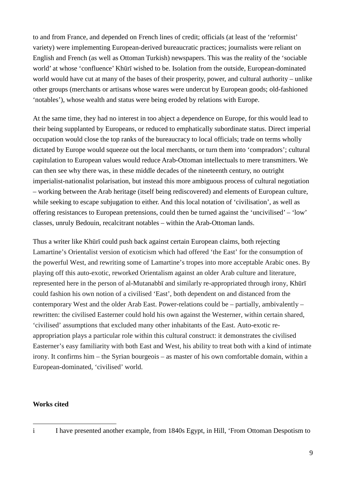<span id="page-8-3"></span><span id="page-8-2"></span><span id="page-8-1"></span>to and from France, and depended on French lines of credit; officials (at least of the 'reformist' variety) were implementing European-derived bureaucratic practices; journalists were reliant on English and French (as well as Ottoman Turkish) newspapers. This was the reality of the 'sociable world' at whose 'confluence' Khūrī wished to be. Isolation from the outside, European-dominated world would have cut at many of the bases of their prosperity, power, and cultural authority – unlike other groups (merchants or artisans whose wares were undercut by European goods; old-fashioned 'notables'), whose wealth and status were being eroded by relations with Europe.

<span id="page-8-5"></span><span id="page-8-4"></span>At the same time, they had no interest in too abject a dependence on Europe, for this would lead to their being supplanted by Europeans, or reduced to emphatically subordinate status. Direct imperial occupation would close the top ranks of the bureaucracy to local officials; trade on terms wholly dictated by Europe would squeeze out the local merchants, or turn them into 'compradors'; cultural capitulation to European values would reduce Arab-Ottoman intellectuals to mere transmitters. We can then see why there was, in these middle decades of the nineteenth century, no outright imperialist-nationalist polarisation, but instead this more ambiguous process of cultural negotiation – working between the Arab heritage (itself being rediscovered) and elements of European culture, while seeking to escape subjugation to either. And this local notation of 'civilisation', as well as offering resistances to European pretensions, could then be turned against the 'uncivilised' – 'low' classes, unruly Bedouin, recalcitrant notables – within the Arab-Ottoman lands.

Thus a writer like Khūrī could push back against certain European claims, both rejecting Lamartine's Orientalist version of exoticism which had offered 'the East' for the consumption of the powerful West, and rewriting some of Lamartine's tropes into more acceptable Arabic ones. By playing off this auto-exotic, reworked Orientalism against an older Arab culture and literature, represented here in the person of al-Mutanabbī and similarly re-appropriated through irony, Khūrī could fashion his own notion of a civilised 'East', both dependent on and distanced from the contemporary West and the older Arab East. Power-relations could be – partially, ambivalently – rewritten: the civilised Easterner could hold his own against the Westerner, within certain shared, 'civilised' assumptions that excluded many other inhabitants of the East. Auto-exotic reappropriation plays a particular role within this cultural construct: it demonstrates the civilised Easterner's easy familiarity with both East and West, his ability to treat both with a kind of intimate irony. It confirms him – the Syrian bourgeois – as master of his own comfortable domain, within a European-dominated, 'civilised' world.

## **Works cited**

<sup>1</sup> 

<span id="page-8-0"></span>i I have presented another example, from 1840s Egypt, in Hill, 'From Ottoman Despotism to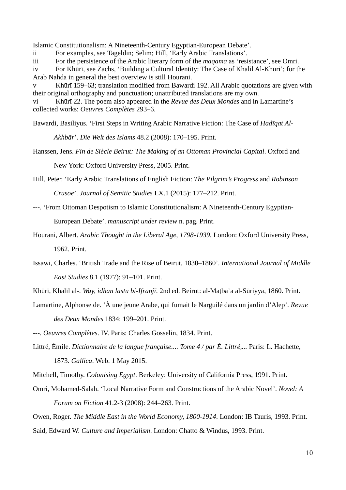Islamic Constitutionalism: A Nineteenth-Century Egyptian-European Debate'.

1

- ii For examples, see Tageldin; Selim; Hill, 'Early Arabic Translations'.
- iii For the persistence of the Arabic literary form of the *maqama* as 'resistance', see Omri.

iv For Khūrī, see Zachs, 'Building a Cultural Identity: The Case of Khalil Al-Khuri'; for the Arab Nahda in general the best overview is still Hourani.

v Khūrī 159–63; translation modified from Bawardi 192. All Arabic quotations are given with their original orthography and punctuation; unattributed translations are my own.

vi Khūrī 22. The poem also appeared in the *Revue des Deux Mondes* and in Lamartine's collected works: *Oeuvres Complètes* 293–6.

Bawardi, Basiliyus. 'First Steps in Writing Arabic Narrative Fiction: The Case of *Hadīqat Al-*

*Akhbār*'. *Die Welt des Islams* 48.2 (2008): 170–195. Print.

Hanssen, Jens. *Fin de Siècle Beirut: The Making of an Ottoman Provincial Capital*. Oxford and

New York: Oxford University Press, 2005. Print.

- Hill, Peter. 'Early Arabic Translations of English Fiction: *The Pilgrim's Progress* and *Robinson Crusoe*'. *Journal of Semitic Studies* LX.1 (2015): 177–212. Print.
- ---. 'From Ottoman Despotism to Islamic Constitutionalism: A Nineteenth-Century Egyptian-European Debate'. *manuscript under review* n. pag. Print.
- Hourani, Albert. *Arabic Thought in the Liberal Age, 1798-1939*. London: Oxford University Press, 1962. Print.
- Issawi, Charles. 'British Trade and the Rise of Beirut, 1830–1860'. *International Journal of Middle East Studies* 8.1 (1977): 91–101. Print.
- Khūrī, Khalīl al-. *Way, idhan lastu bi-Ifranjī*. 2nd ed. Beirut: al-Maṭbaʿa al-Sūriyya, 1860. Print.
- Lamartine, Alphonse de. 'À une jeune Arabe, qui fumait le Narguilé dans un jardin d'Alep'. *Revue des Deux Mondes* 1834: 199–201. Print.

---. *Oeuvres Complètes*. IV. Paris: Charles Gosselin, 1834. Print.

Littré, Émile. *Dictionnaire de la langue française.... Tome 4 / par É. Littré,...* Paris: L. Hachette, 1873. *Gallica*. Web. 1 May 2015.

Mitchell, Timothy. *Colonising Egypt*. Berkeley: University of California Press, 1991. Print.

Omri, Mohamed-Salah. 'Local Narrative Form and Constructions of the Arabic Novel'. *Novel: A Forum on Fiction* 41.2-3 (2008): 244–263. Print.

Owen, Roger. *The Middle East in the World Economy, 1800-1914*. London: IB Tauris, 1993. Print. Said, Edward W. *Culture and Imperialism*. London: Chatto & Windus, 1993. Print.